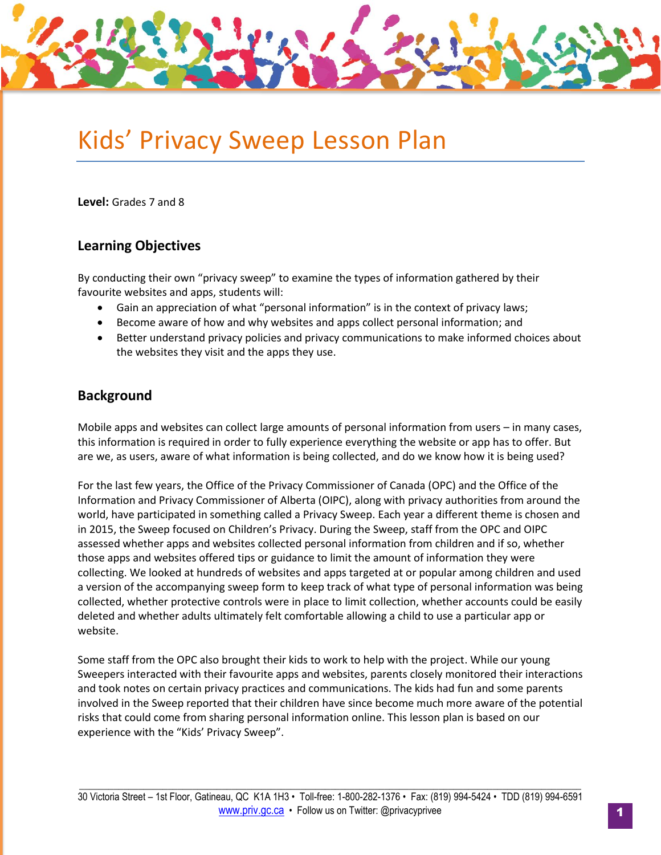# Kids' Privacy Sweep Lesson Plan

**Level:** Grades 7 and 8

### **Learning Objectives**

By conducting their own "privacy sweep" to examine the types of information gathered by their favourite websites and apps, students will:

- Gain an appreciation of what "personal information" is in the context of privacy laws;
- Become aware of how and why websites and apps collect personal information; and
- Better understand privacy policies and privacy communications to make informed choices about the websites they visit and the apps they use.

## **Background**

Mobile apps and websites can collect large amounts of personal information from users – in many cases, this information is required in order to fully experience everything the website or app has to offer. But are we, as users, aware of what information is being collected, and do we know how it is being used?

For the last few years, the Office of the Privacy Commissioner of Canada (OPC) and the Office of the Information and Privacy Commissioner of Alberta (OIPC), along with privacy authorities from around the world, have participated in something called a Privacy Sweep. Each year a different theme is chosen and in 2015, the Sweep focused on Children's Privacy. During the Sweep, staff from the OPC and OIPC assessed whether apps and websites collected personal information from children and if so, whether those apps and websites offered tips or guidance to limit the amount of information they were collecting. We looked at hundreds of websites and apps targeted at or popular among children and used a version of the accompanying sweep form to keep track of what type of personal information was being collected, whether protective controls were in place to limit collection, whether accounts could be easily deleted and whether adults ultimately felt comfortable allowing a child to use a particular app or website.

Some staff from the OPC also brought their kids to work to help with the project. While our young Sweepers interacted with their favourite apps and websites, parents closely monitored their interactions and took notes on certain privacy practices and communications. The kids had fun and some parents involved in the Sweep reported that their children have since become much more aware of the potential risks that could come from sharing personal information online. This lesson plan is based on our experience with the "Kids' Privacy Sweep".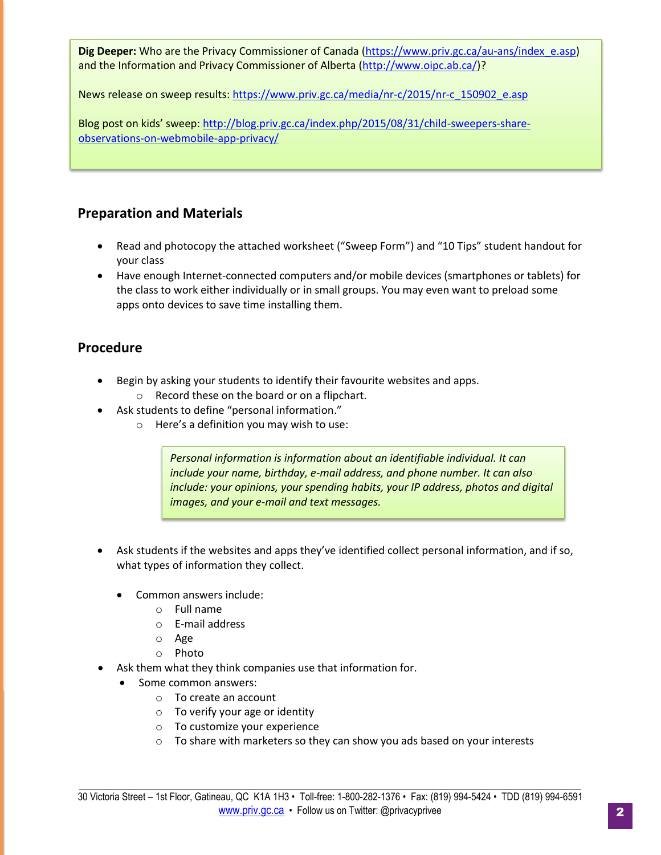**Dig Deeper:** Who are the Privacy Commissioner of Canada [\(https://www.priv.gc.ca/au-ans/index\\_e.asp\)](https://www.priv.gc.ca/au-ans/index_e.asp) and the Information and Privacy Commissioner of Alberta [\(http://www.oipc.ab.ca/\)](http://www.oipc.ab.ca/)?

News release on sweep results[: https://www.priv.gc.ca/media/nr-c/2015/nr-c\\_150902\\_e.asp](https://www.priv.gc.ca/media/nr-c/2015/nr-c_150902_e.asp) 

Blog post on kids' sweep: [http://blog.priv.gc.ca/index.php/2015/08/31/child-sweepers-share](http://blog.priv.gc.ca/index.php/2015/08/31/child-sweepers-share-observations-on-webmobile-app-privacy/)[observations-on-webmobile-app-privacy/](http://blog.priv.gc.ca/index.php/2015/08/31/child-sweepers-share-observations-on-webmobile-app-privacy/) 

## **Preparation and Materials**

- Read and photocopy the attached worksheet ("Sweep Form") and "10 Tips" student handout for your class
- Have enough Internet-connected computers and/or mobile devices (smartphones or tablets) for the class to work either individually or in small groups. You may even want to preload some apps onto devices to save time installing them.

## **Procedure**

- Begin by asking your students to identify their favourite websites and apps.
	- o Record these on the board or on a flipchart.
- Ask students to define "personal information."
	- o Here's a definition you may wish to use:

*Personal information is information about an identifiable individual. It can include your name, birthday, e-mail address, and phone number. It can also include: your opinions, your spending habits, your IP address, photos and digital images, and your e-mail and text messages.*

- Ask students if the websites and apps they've identified collect personal information, and if so, what types of information they collect.
	- Common answers include:
		- o Full name
		- o E-mail address
		- o Age
		- o Photo
- Ask them what they think companies use that information for.
	- Some common answers:
		- o To create an account
		- o To verify your age or identity
		- o To customize your experience
		- o To share with marketers so they can show you ads based on your interests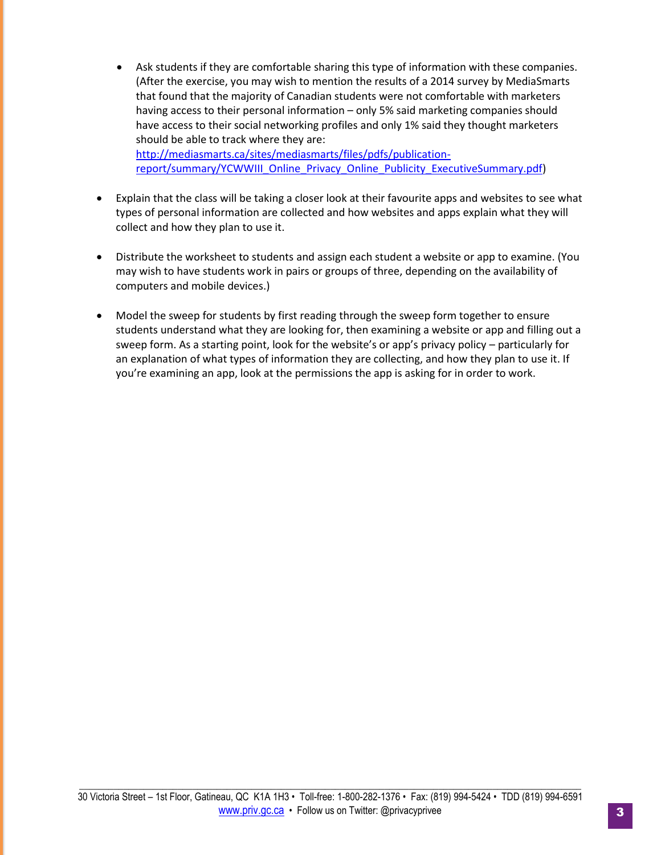- Ask students if they are comfortable sharing this type of information with these companies. (After the exercise, you may wish to mention the results of a 2014 survey by MediaSmarts that found that the majority of Canadian students were not comfortable with marketers having access to their personal information – only 5% said marketing companies should have access to their social networking profiles and only 1% said they thought marketers should be able to track where they are: [http://mediasmarts.ca/sites/mediasmarts/files/pdfs/publication](http://mediasmarts.ca/sites/mediasmarts/files/pdfs/publication-report/summary/YCWWIII_Online_Privacy_Online_Publicity_ExecutiveSummary.pdf)[report/summary/YCWWIII\\_Online\\_Privacy\\_Online\\_Publicity\\_ExecutiveSummary.pdf\)](http://mediasmarts.ca/sites/mediasmarts/files/pdfs/publication-report/summary/YCWWIII_Online_Privacy_Online_Publicity_ExecutiveSummary.pdf)
- Explain that the class will be taking a closer look at their favourite apps and websites to see what types of personal information are collected and how websites and apps explain what they will collect and how they plan to use it.
- Distribute the worksheet to students and assign each student a website or app to examine. (You may wish to have students work in pairs or groups of three, depending on the availability of computers and mobile devices.)
- Model the sweep for students by first reading through the sweep form together to ensure students understand what they are looking for, then examining a website or app and filling out a sweep form. As a starting point, look for the website's or app's privacy policy – particularly for an explanation of what types of information they are collecting, and how they plan to use it. If you're examining an app, look at the permissions the app is asking for in order to work.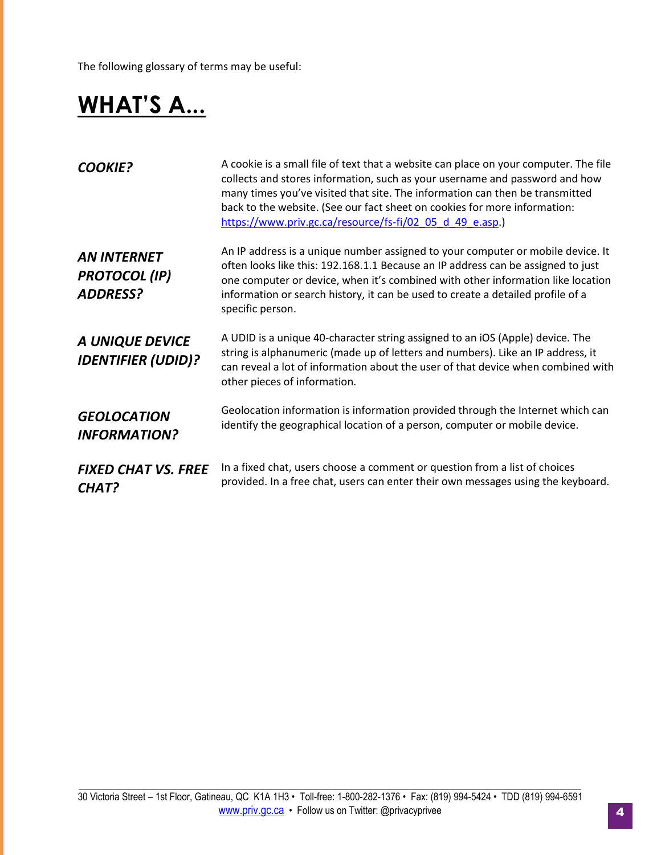The following glossary of terms may be useful:

## **WHAT'S A...**

| <b>COOKIE?</b>                                                | A cookie is a small file of text that a website can place on your computer. The file<br>collects and stores information, such as your username and password and how<br>many times you've visited that site. The information can then be transmitted<br>back to the website. (See our fact sheet on cookies for more information:<br>https://www.priv.gc.ca/resource/fs-fi/02 05 d 49 e.asp.) |
|---------------------------------------------------------------|----------------------------------------------------------------------------------------------------------------------------------------------------------------------------------------------------------------------------------------------------------------------------------------------------------------------------------------------------------------------------------------------|
| <b>AN INTERNET</b><br><b>PROTOCOL</b> (IP)<br><b>ADDRESS?</b> | An IP address is a unique number assigned to your computer or mobile device. It<br>often looks like this: 192.168.1.1 Because an IP address can be assigned to just<br>one computer or device, when it's combined with other information like location<br>information or search history, it can be used to create a detailed profile of a<br>specific person.                                |
| A UNIQUE DEVICE<br><b>IDENTIFIER (UDID)?</b>                  | A UDID is a unique 40-character string assigned to an iOS (Apple) device. The<br>string is alphanumeric (made up of letters and numbers). Like an IP address, it<br>can reveal a lot of information about the user of that device when combined with<br>other pieces of information.                                                                                                         |
| <b>GEOLOCATION</b><br><b>INFORMATION?</b>                     | Geolocation information is information provided through the Internet which can<br>identify the geographical location of a person, computer or mobile device.                                                                                                                                                                                                                                 |
| <b>FIXED CHAT VS. FREE</b><br>CHAT?                           | In a fixed chat, users choose a comment or question from a list of choices<br>provided. In a free chat, users can enter their own messages using the keyboard.                                                                                                                                                                                                                               |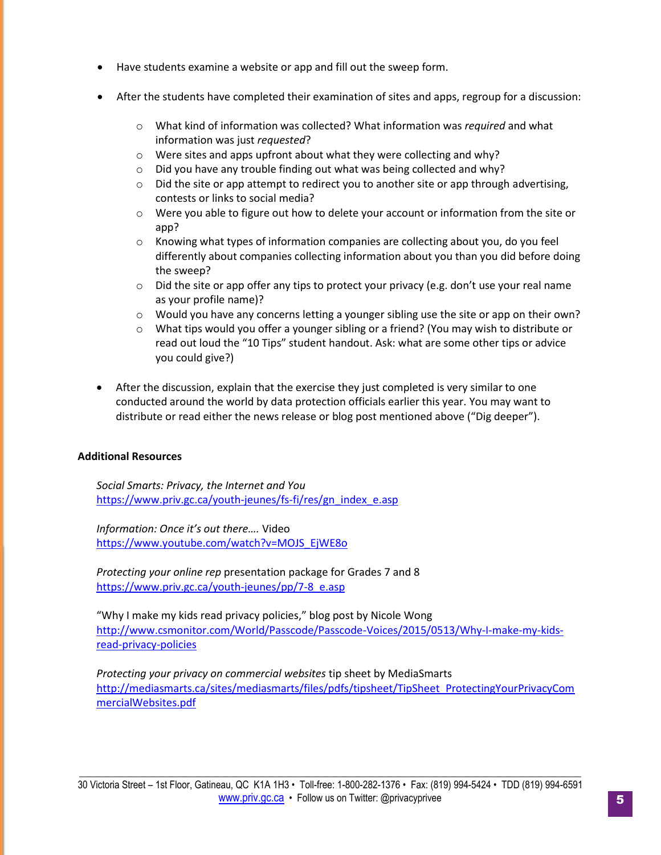- Have students examine a website or app and fill out the sweep form.
- After the students have completed their examination of sites and apps, regroup for a discussion:
	- o What kind of information was collected? What information was *required* and what information was just *requested*?
	- o Were sites and apps upfront about what they were collecting and why?
	- o Did you have any trouble finding out what was being collected and why?
	- $\circ$  Did the site or app attempt to redirect you to another site or app through advertising, contests or links to social media?
	- o Were you able to figure out how to delete your account or information from the site or app?
	- $\circ$  Knowing what types of information companies are collecting about you, do you feel differently about companies collecting information about you than you did before doing the sweep?
	- $\circ$  Did the site or app offer any tips to protect your privacy (e.g. don't use your real name as your profile name)?
	- o Would you have any concerns letting a younger sibling use the site or app on their own?
	- o What tips would you offer a younger sibling or a friend? (You may wish to distribute or read out loud the "10 Tips" student handout. Ask: what are some other tips or advice you could give?)
- After the discussion, explain that the exercise they just completed is very similar to one conducted around the world by data protection officials earlier this year. You may want to distribute or read either the news release or blog post mentioned above ("Dig deeper").

#### **Additional Resources**

*Social Smarts: Privacy, the Internet and You* [https://www.priv.gc.ca/youth-jeunes/fs-fi/res/gn\\_index\\_e.asp](https://www.priv.gc.ca/youth-jeunes/fs-fi/res/gn_index_e.asp)

*Information: Once it's out there….* Video [https://www.youtube.com/watch?v=MOJS\\_EjWE8o](https://www.youtube.com/watch?v=MOJS_EjWE8o)

*Protecting your online rep* presentation package for Grades 7 and 8 [https://www.priv.gc.ca/youth-jeunes/pp/7-8\\_e.asp](https://www.priv.gc.ca/youth-jeunes/pp/7-8_e.asp)

"Why I make my kids read privacy policies," blog post by Nicole Wong [http://www.csmonitor.com/World/Passcode/Passcode-Voices/2015/0513/Why-I-make-my-kids](http://www.csmonitor.com/World/Passcode/Passcode-Voices/2015/0513/Why-I-make-my-kids-read-privacy-policies)[read-privacy-policies](http://www.csmonitor.com/World/Passcode/Passcode-Voices/2015/0513/Why-I-make-my-kids-read-privacy-policies)

*Protecting your privacy on commercial websites* tip sheet by MediaSmarts [http://mediasmarts.ca/sites/mediasmarts/files/pdfs/tipsheet/TipSheet\\_ProtectingYourPrivacyCom](http://mediasmarts.ca/sites/mediasmarts/files/pdfs/tipsheet/TipSheet_ProtectingYourPrivacyCommercialWebsites.pdf) [mercialWebsites.pdf](http://mediasmarts.ca/sites/mediasmarts/files/pdfs/tipsheet/TipSheet_ProtectingYourPrivacyCommercialWebsites.pdf)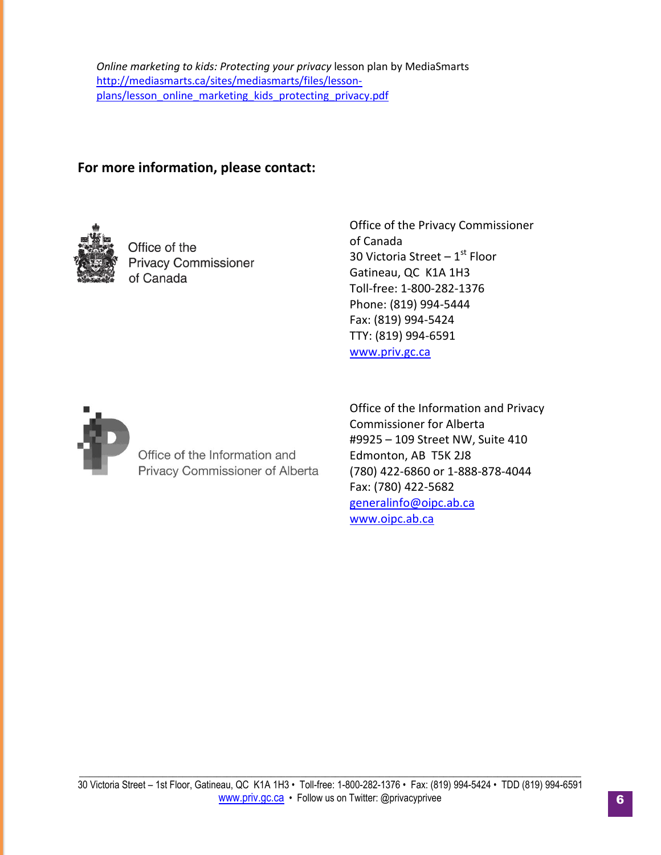## **For more information, please contact:**



Office of the **Privacy Commissioner** of Canada

Office of the Privacy Commissioner of Canada 30 Victoria Street –  $1^{\rm st}$  Floor Gatineau, QC K1A 1H3 Toll-free: 1-800-282-1376 Phone: (819) 994-5444 Fax: (819) 994-5424 TTY: (819) 994-6591 [www.priv.gc.ca](http://www.priv.gc.ca/)



Office of the Information and Privacy Commissioner of Alberta

Office of the Information and Privacy Commissioner for Alberta #9925 – 109 Street NW, Suite 410 Edmonton, AB T5K 2J8 (780) 422-6860 or 1-888-878-4044 Fax: (780) 422-5682 [generalinfo@oipc.ab.ca](mailto:generalinfo@oipc.ab.ca) [www.oipc.ab.ca](http://www.oipc.ab.ca/)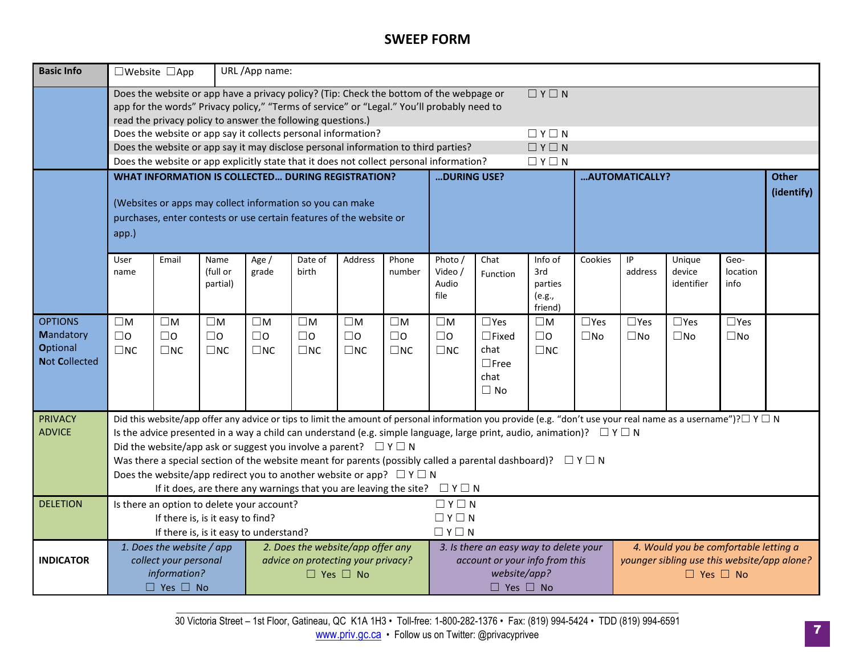## **SWEEP FORM**

| <b>Basic Info</b>    |                                                                                                                                                                                                                                                                         | □Website □App                                                                      |                                                                                                               | URL/App name:                     |              |                 |                |                                                                                                              |                                                                                                                                         |                   |                |                                       |                                                                                                                                                                          |              |              |
|----------------------|-------------------------------------------------------------------------------------------------------------------------------------------------------------------------------------------------------------------------------------------------------------------------|------------------------------------------------------------------------------------|---------------------------------------------------------------------------------------------------------------|-----------------------------------|--------------|-----------------|----------------|--------------------------------------------------------------------------------------------------------------|-----------------------------------------------------------------------------------------------------------------------------------------|-------------------|----------------|---------------------------------------|--------------------------------------------------------------------------------------------------------------------------------------------------------------------------|--------------|--------------|
|                      | Does the website or app have a privacy policy? (Tip: Check the bottom of the webpage or<br>$\Box Y \Box N$<br>app for the words" Privacy policy," "Terms of service" or "Legal." You'll probably need to<br>read the privacy policy to answer the following questions.) |                                                                                    |                                                                                                               |                                   |              |                 |                |                                                                                                              |                                                                                                                                         |                   |                |                                       |                                                                                                                                                                          |              |              |
|                      |                                                                                                                                                                                                                                                                         | Does the website or app say it collects personal information?                      |                                                                                                               |                                   |              |                 |                | $\Box Y \Box N$                                                                                              |                                                                                                                                         |                   |                |                                       |                                                                                                                                                                          |              |              |
|                      |                                                                                                                                                                                                                                                                         | Does the website or app say it may disclose personal information to third parties? |                                                                                                               |                                   |              |                 |                | $\Box Y \Box N$                                                                                              |                                                                                                                                         |                   |                |                                       |                                                                                                                                                                          |              |              |
|                      |                                                                                                                                                                                                                                                                         |                                                                                    |                                                                                                               |                                   |              |                 |                | Does the website or app explicitly state that it does not collect personal information?<br>$\Box$ Y $\Box$ N |                                                                                                                                         |                   |                |                                       |                                                                                                                                                                          |              |              |
|                      |                                                                                                                                                                                                                                                                         | <b>WHAT INFORMATION IS COLLECTED DURING REGISTRATION?</b>                          |                                                                                                               |                                   |              |                 |                | DURING USE?                                                                                                  |                                                                                                                                         |                   | AUTOMATICALLY? |                                       |                                                                                                                                                                          |              | <b>Other</b> |
|                      |                                                                                                                                                                                                                                                                         | (Websites or apps may collect information so you can make                          |                                                                                                               |                                   |              |                 |                |                                                                                                              |                                                                                                                                         |                   |                |                                       | (identify)                                                                                                                                                               |              |              |
|                      |                                                                                                                                                                                                                                                                         | purchases, enter contests or use certain features of the website or                |                                                                                                               |                                   |              |                 |                |                                                                                                              |                                                                                                                                         |                   |                |                                       |                                                                                                                                                                          |              |              |
|                      |                                                                                                                                                                                                                                                                         |                                                                                    |                                                                                                               |                                   |              |                 |                |                                                                                                              |                                                                                                                                         |                   |                |                                       |                                                                                                                                                                          |              |              |
|                      | app.)                                                                                                                                                                                                                                                                   |                                                                                    |                                                                                                               |                                   |              |                 |                |                                                                                                              |                                                                                                                                         |                   |                |                                       |                                                                                                                                                                          |              |              |
|                      | User                                                                                                                                                                                                                                                                    | Email                                                                              | Name                                                                                                          | Age /                             | Date of      | Address         | Phone          | Photo /                                                                                                      | Chat                                                                                                                                    | Info of           | Cookies        | IP                                    | Unique                                                                                                                                                                   | Geo-         |              |
|                      | name                                                                                                                                                                                                                                                                    |                                                                                    | (full or                                                                                                      | grade                             | birth        |                 | number         | Video /                                                                                                      | Function                                                                                                                                | 3rd               |                | address                               | device                                                                                                                                                                   | location     |              |
|                      |                                                                                                                                                                                                                                                                         |                                                                                    | partial)                                                                                                      |                                   |              |                 |                | Audio                                                                                                        |                                                                                                                                         | parties           |                |                                       | identifier                                                                                                                                                               | info         |              |
|                      |                                                                                                                                                                                                                                                                         |                                                                                    |                                                                                                               |                                   |              |                 |                | file                                                                                                         |                                                                                                                                         | (e.g.,<br>friend) |                |                                       |                                                                                                                                                                          |              |              |
| <b>OPTIONS</b>       | $\square$ M                                                                                                                                                                                                                                                             | $\square$ M                                                                        | $\square M$                                                                                                   | $\square M$                       | $\square M$  | $\square$ M     | $\square$<br>M | $\square M$                                                                                                  | $\square$ Yes                                                                                                                           | $\square$ M       | $\Box$ Yes     | $\square$ Yes                         | $\square$ Yes                                                                                                                                                            | $\Box$ Yes   |              |
| <b>Mandatory</b>     | $\square$ 0                                                                                                                                                                                                                                                             | $\square$ 0                                                                        | $\Box$ 0                                                                                                      | $\square$ 0                       | $\square$ 0  | $\square$ 0     | $\Box$ o       | $\Box$                                                                                                       | $\Box$ Fixed                                                                                                                            | $\Box$ o          | $\square$ No   | $\square$ No                          | $\square$ No                                                                                                                                                             | $\square$ No |              |
| <b>Optional</b>      | $\Box$ NC                                                                                                                                                                                                                                                               | $\square$ NC                                                                       | $\square$ NC                                                                                                  | $\square$ NC                      | $\square$ NC | $\square$<br>NC | $\square$ NC   | $\square$                                                                                                    | chat                                                                                                                                    | $\square$ NC      |                |                                       |                                                                                                                                                                          |              |              |
| <b>Not Collected</b> |                                                                                                                                                                                                                                                                         |                                                                                    |                                                                                                               |                                   |              |                 |                |                                                                                                              | $\square$ Free                                                                                                                          |                   |                |                                       |                                                                                                                                                                          |              |              |
|                      |                                                                                                                                                                                                                                                                         |                                                                                    |                                                                                                               |                                   |              |                 |                |                                                                                                              | chat                                                                                                                                    |                   |                |                                       |                                                                                                                                                                          |              |              |
|                      |                                                                                                                                                                                                                                                                         |                                                                                    |                                                                                                               |                                   |              |                 |                |                                                                                                              | $\Box$ No                                                                                                                               |                   |                |                                       |                                                                                                                                                                          |              |              |
| <b>PRIVACY</b>       |                                                                                                                                                                                                                                                                         |                                                                                    |                                                                                                               |                                   |              |                 |                |                                                                                                              |                                                                                                                                         |                   |                |                                       | Did this website/app offer any advice or tips to limit the amount of personal information you provide (e.g. "don't use your real name as a username")? $\Box$ Y $\Box$ N |              |              |
| <b>ADVICE</b>        |                                                                                                                                                                                                                                                                         |                                                                                    |                                                                                                               |                                   |              |                 |                |                                                                                                              | Is the advice presented in a way a child can understand (e.g. simple language, large print, audio, animation)? $\square \vee \square$ N |                   |                |                                       |                                                                                                                                                                          |              |              |
|                      |                                                                                                                                                                                                                                                                         | Did the website/app ask or suggest you involve a parent? $\square Y \square N$     |                                                                                                               |                                   |              |                 |                |                                                                                                              |                                                                                                                                         |                   |                |                                       |                                                                                                                                                                          |              |              |
|                      |                                                                                                                                                                                                                                                                         |                                                                                    |                                                                                                               |                                   |              |                 |                |                                                                                                              | Was there a special section of the website meant for parents (possibly called a parental dashboard)? $\Box Y \Box N$                    |                   |                |                                       |                                                                                                                                                                          |              |              |
|                      |                                                                                                                                                                                                                                                                         | Does the website/app redirect you to another website or app? $\Box Y \Box N$       |                                                                                                               |                                   |              |                 |                |                                                                                                              |                                                                                                                                         |                   |                |                                       |                                                                                                                                                                          |              |              |
|                      | If it does, are there any warnings that you are leaving the site?<br>$\Box Y \Box N$                                                                                                                                                                                    |                                                                                    |                                                                                                               |                                   |              |                 |                |                                                                                                              |                                                                                                                                         |                   |                |                                       |                                                                                                                                                                          |              |              |
| <b>DELETION</b>      | $\Box Y \Box N$<br>Is there an option to delete your account?                                                                                                                                                                                                           |                                                                                    |                                                                                                               |                                   |              |                 |                |                                                                                                              |                                                                                                                                         |                   |                |                                       |                                                                                                                                                                          |              |              |
|                      |                                                                                                                                                                                                                                                                         | If there is, is it easy to find?                                                   |                                                                                                               |                                   |              |                 |                | $\Box Y \Box N$                                                                                              |                                                                                                                                         |                   |                |                                       |                                                                                                                                                                          |              |              |
|                      |                                                                                                                                                                                                                                                                         | If there is, is it easy to understand?                                             |                                                                                                               |                                   |              |                 |                | $\Box Y \Box N$                                                                                              |                                                                                                                                         |                   |                |                                       |                                                                                                                                                                          |              |              |
|                      | 1. Does the website / app                                                                                                                                                                                                                                               |                                                                                    |                                                                                                               | 2. Does the website/app offer any |              |                 |                | 3. Is there an easy way to delete your                                                                       |                                                                                                                                         |                   |                | 4. Would you be comfortable letting a |                                                                                                                                                                          |              |              |
| <b>INDICATOR</b>     |                                                                                                                                                                                                                                                                         |                                                                                    | collect your personal<br>advice on protecting your privacy?<br>account or your info from this<br>website/app? |                                   |              |                 |                | younger sibling use this website/app alone?<br>$\Box$ Yes $\Box$ No                                          |                                                                                                                                         |                   |                |                                       |                                                                                                                                                                          |              |              |
|                      | information?<br>$\Box$ Yes $\Box$ No<br>$\Box$ Yes $\Box$ No                                                                                                                                                                                                            |                                                                                    |                                                                                                               |                                   |              |                 |                | $\Box$ Yes $\Box$ No                                                                                         |                                                                                                                                         |                   |                |                                       |                                                                                                                                                                          |              |              |
|                      |                                                                                                                                                                                                                                                                         |                                                                                    |                                                                                                               |                                   |              |                 |                |                                                                                                              |                                                                                                                                         |                   |                |                                       |                                                                                                                                                                          |              |              |